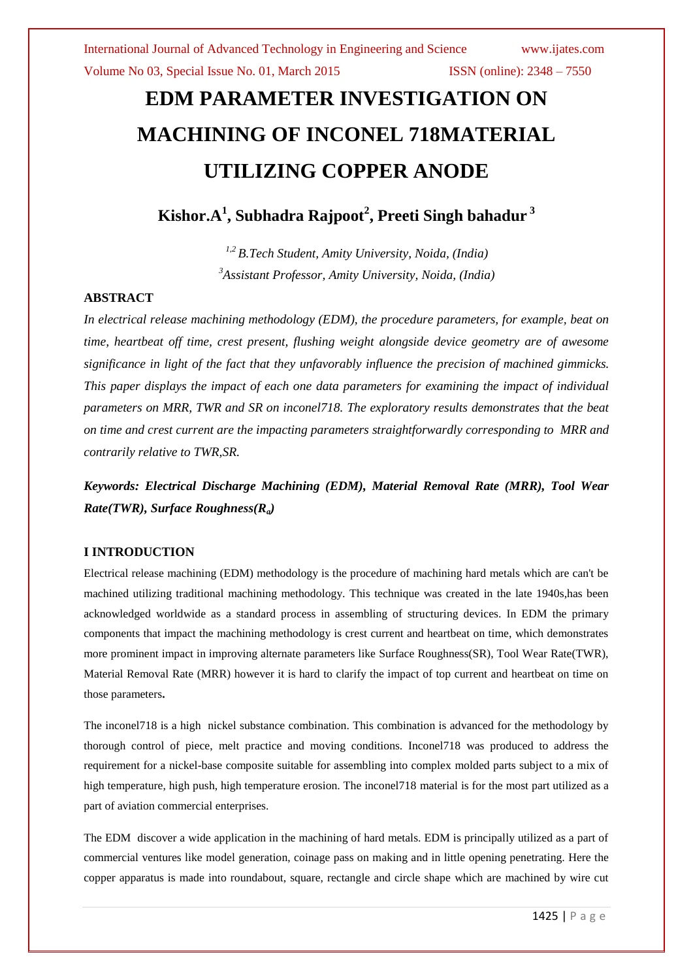# **EDM PARAMETER INVESTIGATION ON MACHINING OF INCONEL 718MATERIAL UTILIZING COPPER ANODE**

**Kishor.A<sup>1</sup> , Subhadra Rajpoot<sup>2</sup> , Preeti Singh bahadur <sup>3</sup>**

*1,2 B.Tech Student, Amity University, Noida, (India) <sup>3</sup>Assistant Professor, Amity University, Noida, (India)*

#### **ABSTRACT**

*In electrical release machining methodology (EDM), the procedure parameters, for example, beat on time, heartbeat off time, crest present, flushing weight alongside device geometry are of awesome significance in light of the fact that they unfavorably influence the precision of machined gimmicks. This paper displays the impact of each one data parameters for examining the impact of individual parameters on MRR, TWR and SR on inconel718. The exploratory results demonstrates that the beat on time and crest current are the impacting parameters straightforwardly corresponding to MRR and contrarily relative to TWR,SR.*

*Keywords: Electrical Discharge Machining (EDM), Material Removal Rate (MRR), Tool Wear Rate(TWR), Surface Roughness(Ra)*

#### **I INTRODUCTION**

Electrical release machining (EDM) methodology is the procedure of machining hard metals which are can't be machined utilizing traditional machining methodology. This technique was created in the late 1940s,has been acknowledged worldwide as a standard process in assembling of structuring devices. In EDM the primary components that impact the machining methodology is crest current and heartbeat on time, which demonstrates more prominent impact in improving alternate parameters like Surface Roughness(SR), Tool Wear Rate(TWR), Material Removal Rate (MRR) however it is hard to clarify the impact of top current and heartbeat on time on those parameters**.**

The inconel718 is a high nickel substance combination. This combination is advanced for the methodology by thorough control of piece, melt practice and moving conditions. Inconel718 was produced to address the requirement for a nickel-base composite suitable for assembling into complex molded parts subject to a mix of high temperature, high push, high temperature erosion. The inconel718 material is for the most part utilized as a part of aviation commercial enterprises.

The EDM discover a wide application in the machining of hard metals. EDM is principally utilized as a part of commercial ventures like model generation, coinage pass on making and in little opening penetrating. Here the copper apparatus is made into roundabout, square, rectangle and circle shape which are machined by wire cut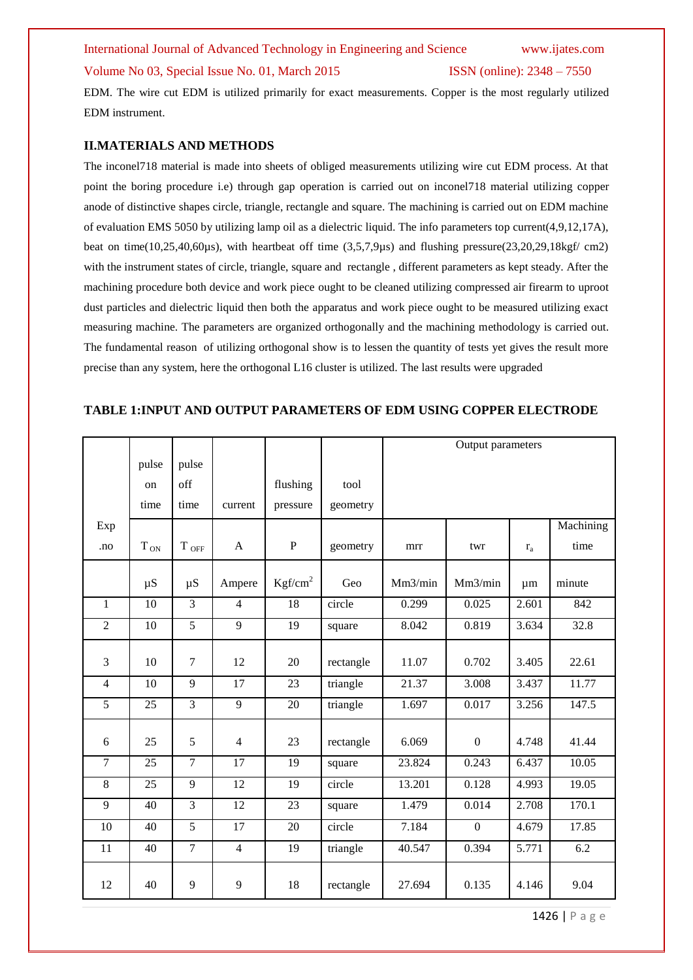## International Journal of Advanced Technology in Engineering and Science www.ijates.com Volume No 03, Special Issue No. 01, March 2015 ISSN (online): 2348 – 7550

EDM. The wire cut EDM is utilized primarily for exact measurements. Copper is the most regularly utilized EDM instrument.

#### **II.MATERIALS AND METHODS**

The inconel718 material is made into sheets of obliged measurements utilizing wire cut EDM process. At that point the boring procedure i.e) through gap operation is carried out on inconel718 material utilizing copper anode of distinctive shapes circle, triangle, rectangle and square. The machining is carried out on EDM machine of evaluation EMS 5050 by utilizing lamp oil as a dielectric liquid. The info parameters top current(4,9,12,17A), beat on time( $10,25,40,60\mu s$ ), with heartbeat off time (3,5,7,9 $\mu s$ ) and flushing pressure( $23,20,29,18\kappa\text{gf/cm2}$ ) with the instrument states of circle, triangle, square and rectangle, different parameters as kept steady. After the machining procedure both device and work piece ought to be cleaned utilizing compressed air firearm to uproot dust particles and dielectric liquid then both the apparatus and work piece ought to be measured utilizing exact measuring machine. The parameters are organized orthogonally and the machining methodology is carried out. The fundamental reason of utilizing orthogonal show is to lessen the quantity of tests yet gives the result more precise than any system, here the orthogonal L16 cluster is utilized. The last results were upgraded

#### **TABLE 1:INPUT AND OUTPUT PARAMETERS OF EDM USING COPPER ELECTRODE**

|                |                 |                |                |                     |           | Output parameters |                  |       |           |
|----------------|-----------------|----------------|----------------|---------------------|-----------|-------------------|------------------|-------|-----------|
|                | pulse           | pulse          |                |                     |           |                   |                  |       |           |
|                | on              | off            |                | flushing            | tool      |                   |                  |       |           |
|                | time            | time           | current        | pressure            | geometry  |                   |                  |       |           |
| Exp            |                 |                |                |                     |           |                   |                  |       | Machining |
| .no            | $T_{ON}$        | $\rm T$ off    | $\mathbf{A}$   | ${\bf P}$           | geometry  | mrr               | twr              | $r_a$ | time      |
|                | $\mu S$         | $\mu S$        | Ampere         | Kgf/cm <sup>2</sup> | Geo       | Mm3/min           | Mm3/min          | μm    | minute    |
| $\mathbf{1}$   | 10              | $\overline{3}$ | $\overline{4}$ | 18                  | circle    | 0.299             | 0.025            | 2.601 | 842       |
|                |                 |                |                |                     |           |                   |                  |       |           |
| $\overline{2}$ | $\overline{10}$ | $\overline{5}$ | $\overline{9}$ | 19                  | square    | 8.042             | 0.819            | 3.634 | 32.8      |
| 3              | 10              | $\overline{7}$ | 12             | 20                  | rectangle | 11.07             | 0.702            | 3.405 | 22.61     |
| $\overline{4}$ | 10              | 9              | 17             | 23                  | triangle  | 21.37             | 3.008            | 3.437 | 11.77     |
| 5              | 25              | 3              | 9              | 20                  | triangle  | 1.697             | 0.017            | 3.256 | 147.5     |
| 6              | 25              | 5              | $\overline{4}$ | 23                  | rectangle | 6.069             | $\boldsymbol{0}$ | 4.748 | 41.44     |
| $\overline{7}$ | 25              | $\overline{7}$ | 17             | 19                  | square    | 23.824            | 0.243            | 6.437 | 10.05     |
| $\overline{8}$ | 25              | $\overline{9}$ | 12             | 19                  | circle    | 13.201            | 0.128            | 4.993 | 19.05     |
| $\mathbf{Q}$   | 40              | $\overline{3}$ | 12             | 23                  | square    | 1.479             | 0.014            | 2.708 | 170.1     |
| 10             | 40              | $\overline{5}$ | 17             | 20                  | circle    | 7.184             | $\overline{0}$   | 4.679 | 17.85     |
| 11             | 40              | $\overline{7}$ | $\overline{4}$ | 19                  | triangle  | 40.547            | 0.394            | 5.771 | 6.2       |
| 12             | 40              | 9              | 9              | 18                  | rectangle | 27.694            | 0.135            | 4.146 | 9.04      |

1426 | P a g e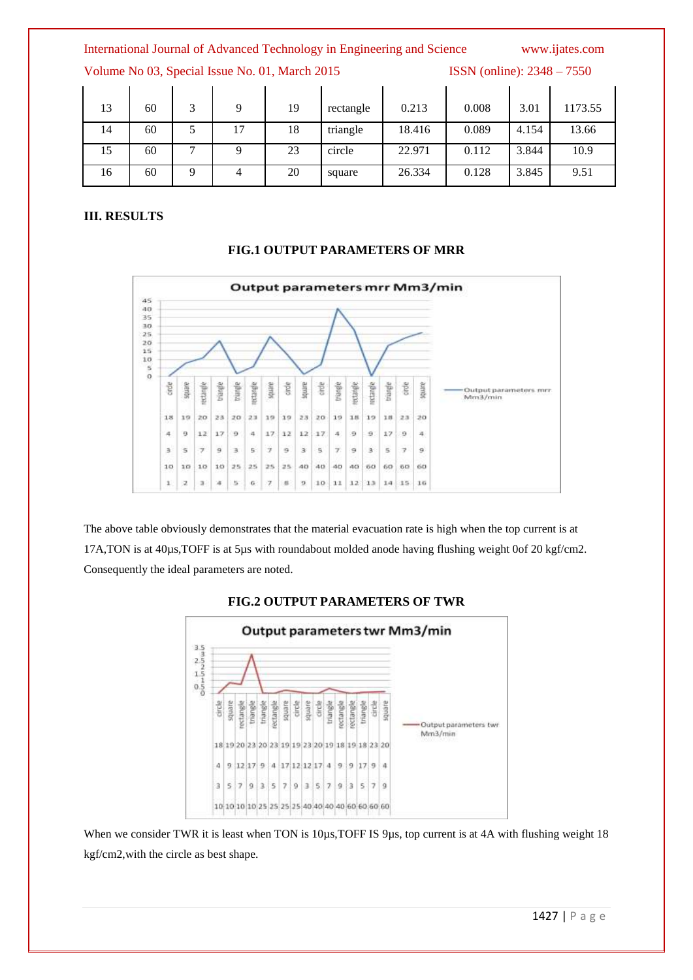International Journal of Advanced Technology in Engineering and Science www.ijates.com

Volume No 03, Special Issue No. 01, March 2015 ISSN (online): 2348 – 7550

| 13 | 60 | 3 | 9  | 19 | rectangle | 0.213  | 0.008 | 3.01  | 1173.55 |
|----|----|---|----|----|-----------|--------|-------|-------|---------|
| 14 | 60 |   | 17 | 18 | triangle  | 18.416 | 0.089 | 4.154 | 13.66   |
| 15 | 60 | − |    | 23 | circle    | 22.971 | 0.112 | 3.844 | 10.9    |
| 16 | 60 | 9 |    | 20 | square    | 26.334 | 0.128 | 3.845 | 9.51    |

#### **III. RESULTS**



**FIG.1 OUTPUT PARAMETERS OF MRR**

The above table obviously demonstrates that the material evacuation rate is high when the top current is at 17A,TON is at 40µs,TOFF is at 5µs with roundabout molded anode having flushing weight 0of 20 kgf/cm2. Consequently the ideal parameters are noted.



#### **FIG.2 OUTPUT PARAMETERS OF TWR**

When we consider TWR it is least when TON is  $10\mu s$ , TOFF IS 9us, top current is at 4A with flushing weight 18 kgf/cm2,with the circle as best shape.